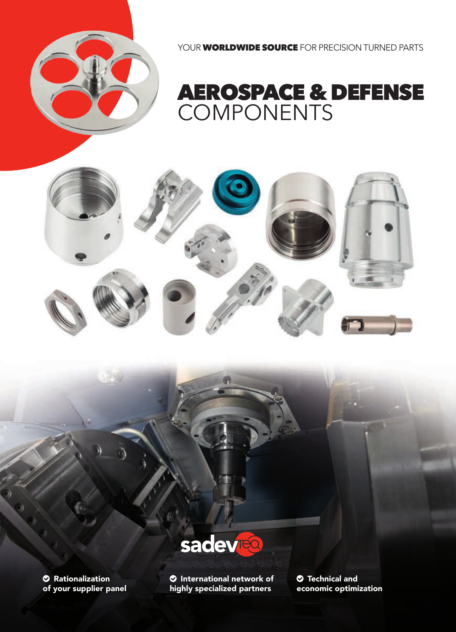

# AEROSPACE & DEFENSE

COMPONENTS

YOUR **WORLDWIDE SOURCE** FOR PRECISION TURNED PARTS



**2** Rationalization of your supplier panel **O** International network of highly specialized partners

 $\bullet$  Technical and economic optimization